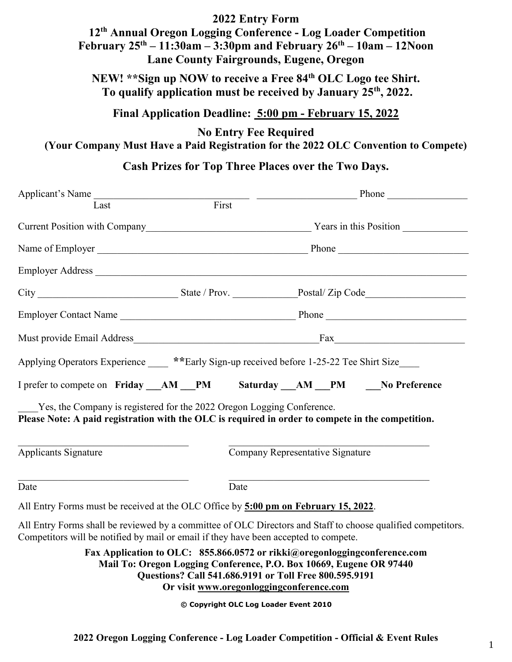### **2022 Entry Form**

# **12 th Annual Oregon Logging Conference - Log Loader Competition February 25 th – 11:30am – 3:30pm and February 26 th – 10am – 12Noon Lane County Fairgrounds, Eugene, Oregon**

**NEW! \*\*Sign up NOW to receive a Free 84 th OLC Logo tee Shirt. To qualify application must be received by January 25th, 2022.**

## **Final Application Deadline: 5:00 pm - February 15, 2022**

**No Entry Fee Required (Your Company Must Have a Paid Registration for the 2022 OLC Convention to Compete)**

## **Cash Prizes for Top Three Places over the Two Days.**

| Applicant's Name                                                                                                                                                                                     |                                                                                                                                                                                                                                                        |                                  |  |
|------------------------------------------------------------------------------------------------------------------------------------------------------------------------------------------------------|--------------------------------------------------------------------------------------------------------------------------------------------------------------------------------------------------------------------------------------------------------|----------------------------------|--|
| Last                                                                                                                                                                                                 |                                                                                                                                                                                                                                                        |                                  |  |
|                                                                                                                                                                                                      |                                                                                                                                                                                                                                                        |                                  |  |
|                                                                                                                                                                                                      |                                                                                                                                                                                                                                                        |                                  |  |
|                                                                                                                                                                                                      |                                                                                                                                                                                                                                                        |                                  |  |
|                                                                                                                                                                                                      |                                                                                                                                                                                                                                                        |                                  |  |
|                                                                                                                                                                                                      |                                                                                                                                                                                                                                                        |                                  |  |
|                                                                                                                                                                                                      |                                                                                                                                                                                                                                                        |                                  |  |
| Applying Operators Experience _____ **Early Sign-up received before 1-25-22 Tee Shirt Size____                                                                                                       |                                                                                                                                                                                                                                                        |                                  |  |
| I prefer to compete on Friday AM PM Saturday AM PM No Preference                                                                                                                                     |                                                                                                                                                                                                                                                        |                                  |  |
| Yes, the Company is registered for the 2022 Oregon Logging Conference.<br>Please Note: A paid registration with the OLC is required in order to compete in the competition.                          |                                                                                                                                                                                                                                                        |                                  |  |
| Applicants Signature                                                                                                                                                                                 |                                                                                                                                                                                                                                                        | Company Representative Signature |  |
| Date                                                                                                                                                                                                 | Date                                                                                                                                                                                                                                                   |                                  |  |
| All Entry Forms must be received at the OLC Office by 5:00 pm on February 15, 2022.                                                                                                                  |                                                                                                                                                                                                                                                        |                                  |  |
| All Entry Forms shall be reviewed by a committee of OLC Directors and Staff to choose qualified competitors.<br>Competitors will be notified by mail or email if they have been accepted to compete. |                                                                                                                                                                                                                                                        |                                  |  |
|                                                                                                                                                                                                      | Fax Application to OLC: 855.866.0572 or rikki@oregonloggingconference.com<br>Mail To: Oregon Logging Conference, P.O. Box 10669, Eugene OR 97440<br>Questions? Call 541.686.9191 or Toll Free 800.595.9191<br>Or visit www.oregonloggingconference.com |                                  |  |

**© Copyright OLC Log Loader Event 2010**